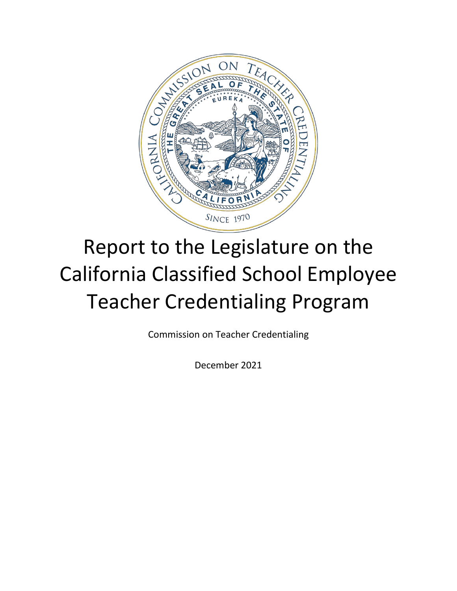

# Report to the Legislature on the California Classified School Employee Teacher Credentialing Program

Commission on Teacher Credentialing

December 2021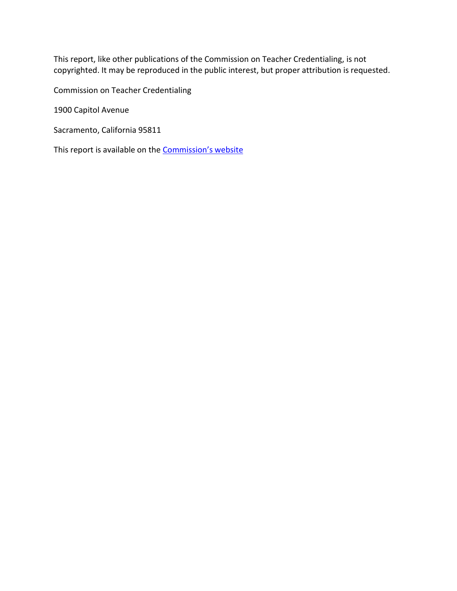This report, like other publications of the Commission on Teacher Credentialing, is not copyrighted. It may be reproduced in the public interest, but proper attribution is requested.

Commission on Teacher Credentialing

1900 Capitol Avenue

Sacramento, California 95811

This report is available on the **Commission's website**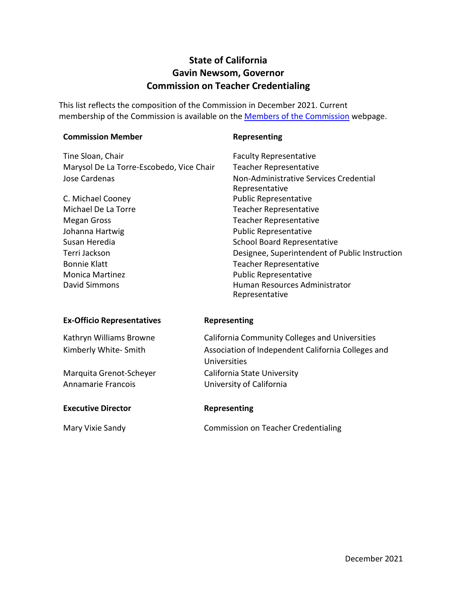### **State of California Gavin Newsom, Governor Commission on Teacher Credentialing**

This list reflects the composition of the Commission in December 2021. Current membership of [the Commission](https://www.ctc.ca.gov/commission/commissioners) is available on the **Members of the Commission** webpage.

| <b>Commission Member</b>                 | Representing                                       |
|------------------------------------------|----------------------------------------------------|
| Tine Sloan, Chair                        | <b>Faculty Representative</b>                      |
| Marysol De La Torre-Escobedo, Vice Chair | <b>Teacher Representative</b>                      |
| <b>Jose Cardenas</b>                     | Non-Administrative Services Credential             |
|                                          | Representative                                     |
| C. Michael Cooney                        | <b>Public Representative</b>                       |
| Michael De La Torre                      | <b>Teacher Representative</b>                      |
| <b>Megan Gross</b>                       | <b>Teacher Representative</b>                      |
| Johanna Hartwig                          | <b>Public Representative</b>                       |
| Susan Heredia                            | <b>School Board Representative</b>                 |
| Terri Jackson                            | Designee, Superintendent of Public Instruction     |
| <b>Bonnie Klatt</b>                      | <b>Teacher Representative</b>                      |
| <b>Monica Martinez</b>                   | <b>Public Representative</b>                       |
| David Simmons                            | Human Resources Administrator                      |
|                                          | Representative                                     |
| <b>Ex-Officio Representatives</b>        | Representing                                       |
| Kathryn Williams Browne                  | California Community Colleges and Universities     |
| Kimberly White- Smith                    | Association of Independent California Colleges and |
|                                          | Universities                                       |
| Marquita Grenot-Scheyer                  | California State University                        |
| Annamarie Francois                       | University of California                           |
|                                          |                                                    |
| <b>Executive Director</b>                | Representing                                       |

Mary Vixie Sandy Commission on Teacher Credentialing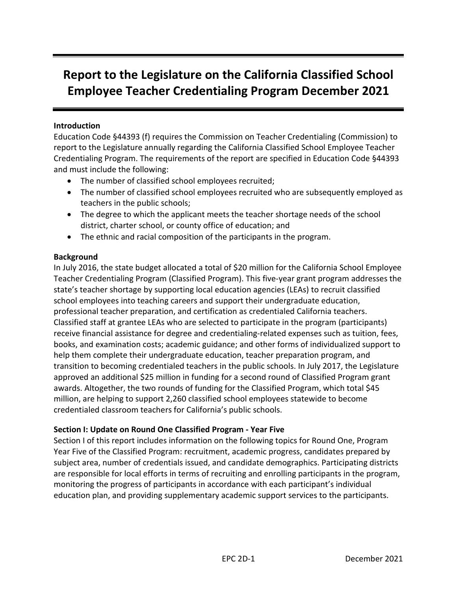## **Report to the Legislature on the California Classified School Employee Teacher Credentialing Program December 2021**

#### **Introduction**

Education Code §44393 (f) requires the Commission on Teacher Credentialing (Commission) to report to the Legislature annually regarding the California Classified School Employee Teacher Credentialing Program. The requirements of the report are specified in Education Code §44393 and must include the following:

- The number of classified school employees recruited;
- The number of classified school employees recruited who are subsequently employed as teachers in the public schools;
- The degree to which the applicant meets the teacher shortage needs of the school district, charter school, or county office of education; and
- The ethnic and racial composition of the participants in the program.

#### **Background**

In July 2016, the state budget allocated a total of \$20 million for the California School Employee Teacher Credentialing Program (Classified Program). This five-year grant program addresses the state's teacher shortage by supporting local education agencies (LEAs) to recruit classified school employees into teaching careers and support their undergraduate education, professional teacher preparation, and certification as credentialed California teachers. Classified staff at grantee LEAs who are selected to participate in the program (participants) receive financial assistance for degree and credentialing-related expenses such as tuition, fees, books, and examination costs; academic guidance; and other forms of individualized support to help them complete their undergraduate education, teacher preparation program, and transition to becoming credentialed teachers in the public schools. In July 2017, the Legislature approved an additional \$25 million in funding for a second round of Classified Program grant awards. Altogether, the two rounds of funding for the Classified Program, which total \$45 million, are helping to support 2,260 classified school employees statewide to become credentialed classroom teachers for California's public schools.

#### **Section I: Update on Round One Classified Program - Year Five**

Section I of this report includes information on the following topics for Round One, Program Year Five of the Classified Program: recruitment, academic progress, candidates prepared by subject area, number of credentials issued, and candidate demographics. Participating districts are responsible for local efforts in terms of recruiting and enrolling participants in the program, monitoring the progress of participants in accordance with each participant's individual education plan, and providing supplementary academic support services to the participants.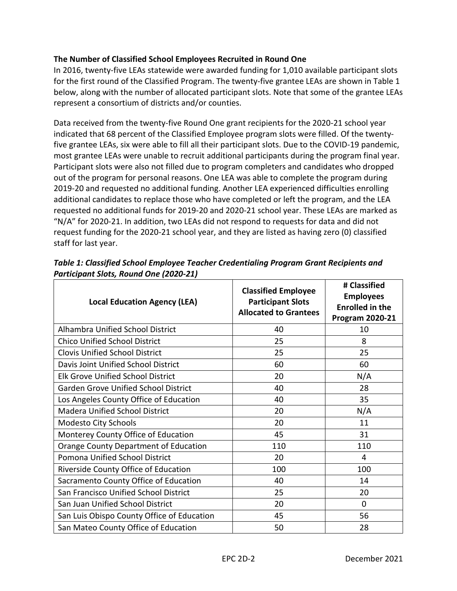#### **The Number of Classified School Employees Recruited in Round One**

In 2016, twenty-five LEAs statewide were awarded funding for 1,010 available participant slots for the first round of the Classified Program. The twenty-five grantee LEAs are shown in Table 1 below, along with the number of allocated participant slots. Note that some of the grantee LEAs represent a consortium of districts and/or counties.

Data received from the twenty-five Round One grant recipients for the 2020-21 school year indicated that 68 percent of the Classified Employee program slots were filled. Of the twentyfive grantee LEAs, six were able to fill all their participant slots. Due to the COVID-19 pandemic, most grantee LEAs were unable to recruit additional participants during the program final year. Participant slots were also not filled due to program completers and candidates who dropped out of the program for personal reasons. One LEA was able to complete the program during 2019-20 and requested no additional funding. Another LEA experienced difficulties enrolling additional candidates to replace those who have completed or left the program, and the LEA requested no additional funds for 2019-20 and 2020-21 school year. These LEAs are marked as "N/A" for 2020-21. In addition, two LEAs did not respond to requests for data and did not request funding for the 2020-21 school year, and they are listed as having zero (0) classified staff for last year.

| <b>Local Education Agency (LEA)</b>        | <b>Classified Employee</b><br><b>Participant Slots</b><br><b>Allocated to Grantees</b> | # Classified<br><b>Employees</b><br><b>Enrolled in the</b><br><b>Program 2020-21</b> |
|--------------------------------------------|----------------------------------------------------------------------------------------|--------------------------------------------------------------------------------------|
| Alhambra Unified School District           | 40                                                                                     | 10                                                                                   |
| <b>Chico Unified School District</b>       | 25                                                                                     | 8                                                                                    |
| <b>Clovis Unified School District</b>      | 25                                                                                     | 25                                                                                   |
| Davis Joint Unified School District        | 60                                                                                     | 60                                                                                   |
| <b>Elk Grove Unified School District</b>   | 20                                                                                     | N/A                                                                                  |
| Garden Grove Unified School District       | 40                                                                                     | 28                                                                                   |
| Los Angeles County Office of Education     | 40                                                                                     | 35                                                                                   |
| <b>Madera Unified School District</b>      | 20                                                                                     | N/A                                                                                  |
| Modesto City Schools                       | 20                                                                                     | 11                                                                                   |
| Monterey County Office of Education        | 45                                                                                     | 31                                                                                   |
| Orange County Department of Education      | 110                                                                                    | 110                                                                                  |
| Pomona Unified School District             | 20                                                                                     | 4                                                                                    |
| Riverside County Office of Education       | 100                                                                                    | 100                                                                                  |
| Sacramento County Office of Education      | 40                                                                                     | 14                                                                                   |
| San Francisco Unified School District      | 25                                                                                     | 20                                                                                   |
| San Juan Unified School District           | 20                                                                                     | 0                                                                                    |
| San Luis Obispo County Office of Education | 45                                                                                     | 56                                                                                   |
| San Mateo County Office of Education       | 50                                                                                     | 28                                                                                   |

*Table 1: Classified School Employee Teacher Credentialing Program Grant Recipients and Participant Slots, Round One (2020-21)*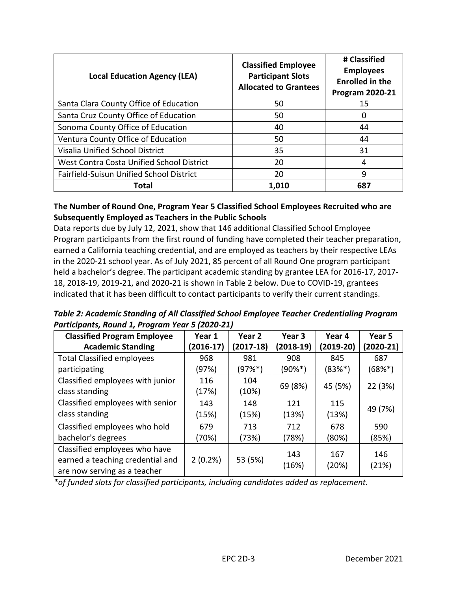| <b>Local Education Agency (LEA)</b>             | <b>Classified Employee</b><br><b>Participant Slots</b><br><b>Allocated to Grantees</b> | # Classified<br><b>Employees</b><br><b>Enrolled in the</b><br><b>Program 2020-21</b> |
|-------------------------------------------------|----------------------------------------------------------------------------------------|--------------------------------------------------------------------------------------|
| Santa Clara County Office of Education          | 50                                                                                     | 15                                                                                   |
| Santa Cruz County Office of Education           | 50                                                                                     | 0                                                                                    |
| Sonoma County Office of Education               | 40                                                                                     | 44                                                                                   |
| Ventura County Office of Education              | 50                                                                                     | 44                                                                                   |
| Visalia Unified School District                 | 35                                                                                     | 31                                                                                   |
| West Contra Costa Unified School District       | 20                                                                                     | 4                                                                                    |
| <b>Fairfield-Suisun Unified School District</b> | 20                                                                                     | 9                                                                                    |
| Total                                           | 1,010                                                                                  | 687                                                                                  |

#### **The Number of Round One, Program Year 5 Classified School Employees Recruited who are Subsequently Employed as Teachers in the Public Schools**

Data reports due by July 12, 2021, show that 146 additional Classified School Employee Program participants from the first round of funding have completed their teacher preparation, earned a California teaching credential, and are employed as teachers by their respective LEAs in the 2020-21 school year. As of July 2021, 85 percent of all Round One program participant held a bachelor's degree. The participant academic standing by grantee LEA for 2016-17, 2017- 18, 2018-19, 2019-21, and 2020-21 is shown in Table 2 below. Due to COVID-19, grantees indicated that it has been difficult to contact participants to verify their current standings.

*Table 2: Academic Standing of All Classified School Employee Teacher Credentialing Program Participants, Round 1, Program Year 5 (2020-21)* 

| <b>Classified Program Employee</b><br><b>Academic Standing</b>                                    | Year 1<br>$(2016-17)$ | Year 2<br>(2017-18) | Year 3<br>$(2018-19)$ | Year 4<br>$(2019-20)$ | Year 5<br>(2020-21) |
|---------------------------------------------------------------------------------------------------|-----------------------|---------------------|-----------------------|-----------------------|---------------------|
| <b>Total Classified employees</b>                                                                 | 968                   | 981                 | 908                   | 845                   | 687                 |
| participating                                                                                     | (97%)                 | (97%*)              | $(90\%^{*})$          | $(83%*)$              | (68%*)              |
| Classified employees with junior<br>class standing                                                | 116<br>(17%)          | 104<br>(10%)        | 69 (8%)               | 45 (5%)               | 22 (3%)             |
| Classified employees with senior                                                                  | 143                   | 148                 | 121                   | 115                   | 49 (7%)             |
| class standing                                                                                    | (15%)                 | (15%)               | (13%)                 | (13%)                 |                     |
| Classified employees who hold                                                                     | 679                   | 713                 | 712                   | 678                   | 590                 |
| bachelor's degrees                                                                                | (70%)                 | (73%)               | (78%)                 | (80%)                 | (85%)               |
| Classified employees who have<br>earned a teaching credential and<br>are now serving as a teacher | $2(0.2\%)$            | 53 (5%)             | 143<br>(16%)          | 167<br>(20%)          | 146<br>(21%)        |

*\*of funded slots for classified participants, including candidates added as replacement.*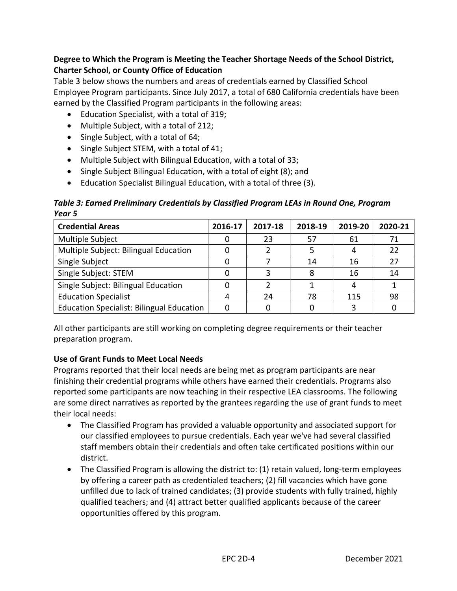#### **Degree to Which the Program is Meeting the Teacher Shortage Needs of the School District, Charter School, or County Office of Education**

Table 3 below shows the numbers and areas of credentials earned by Classified School Employee Program participants. Since July 2017, a total of 680 California credentials have been earned by the Classified Program participants in the following areas:

- Education Specialist, with a total of 319;
- Multiple Subject, with a total of 212;
- Single Subject, with a total of 64;
- Single Subject STEM, with a total of 41;
- Multiple Subject with Bilingual Education, with a total of 33;
- Single Subject Bilingual Education, with a total of eight (8); and
- Education Specialist Bilingual Education, with a total of three (3).

*Table 3: Earned Preliminary Credentials by Classified Program LEAs in Round One, Program Year 5* 

| <b>Credential Areas</b>                          | 2016-17 | 2017-18 | 2018-19 | 2019-20 | 2020-21 |
|--------------------------------------------------|---------|---------|---------|---------|---------|
| Multiple Subject                                 |         | 23      | 57      | 61      | 71      |
| Multiple Subject: Bilingual Education            |         |         |         |         | 22      |
| Single Subject                                   |         |         | 14      | 16      | 27      |
| Single Subject: STEM                             |         | ς       |         | 16      | 14      |
| Single Subject: Bilingual Education              |         |         |         |         |         |
| <b>Education Specialist</b>                      |         | 24      | 78      | 115     | 98      |
| <b>Education Specialist: Bilingual Education</b> |         |         |         |         |         |

All other participants are still working on completing degree requirements or their teacher preparation program.

#### **Use of Grant Funds to Meet Local Needs**

Programs reported that their local needs are being met as program participants are near finishing their credential programs while others have earned their credentials. Programs also reported some participants are now teaching in their respective LEA classrooms. The following are some direct narratives as reported by the grantees regarding the use of grant funds to meet their local needs:

- The Classified Program has provided a valuable opportunity and associated support for our classified employees to pursue credentials. Each year we've had several classified staff members obtain their credentials and often take certificated positions within our district.
- The Classified Program is allowing the district to: (1) retain valued, long-term employees by offering a career path as credentialed teachers; (2) fill vacancies which have gone unfilled due to lack of trained candidates; (3) provide students with fully trained, highly qualified teachers; and (4) attract better qualified applicants because of the career opportunities offered by this program.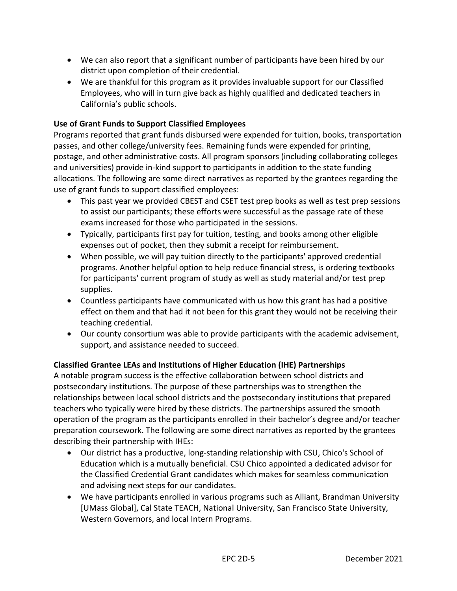- We can also report that a significant number of participants have been hired by our district upon completion of their credential.
- We are thankful for this program as it provides invaluable support for our Classified Employees, who will in turn give back as highly qualified and dedicated teachers in California's public schools.

#### **Use of Grant Funds to Support Classified Employees**

Programs reported that grant funds disbursed were expended for tuition, books, transportation passes, and other college/university fees. Remaining funds were expended for printing, postage, and other administrative costs. All program sponsors (including collaborating colleges and universities) provide in-kind support to participants in addition to the state funding allocations. The following are some direct narratives as reported by the grantees regarding the use of grant funds to support classified employees:

- This past year we provided CBEST and CSET test prep books as well as test prep sessions to assist our participants; these efforts were successful as the passage rate of these exams increased for those who participated in the sessions.
- Typically, participants first pay for tuition, testing, and books among other eligible expenses out of pocket, then they submit a receipt for reimbursement.
- When possible, we will pay tuition directly to the participants' approved credential programs. Another helpful option to help reduce financial stress, is ordering textbooks for participants' current program of study as well as study material and/or test prep supplies.
- Countless participants have communicated with us how this grant has had a positive effect on them and that had it not been for this grant they would not be receiving their teaching credential.
- Our county consortium was able to provide participants with the academic advisement, support, and assistance needed to succeed.

#### **Classified Grantee LEAs and Institutions of Higher Education (IHE) Partnerships**

A notable program success is the effective collaboration between school districts and postsecondary institutions. The purpose of these partnerships was to strengthen the relationships between local school districts and the postsecondary institutions that prepared teachers who typically were hired by these districts. The partnerships assured the smooth operation of the program as the participants enrolled in their bachelor's degree and/or teacher preparation coursework. The following are some direct narratives as reported by the grantees describing their partnership with IHEs:

- Our district has a productive, long-standing relationship with CSU, Chico's School of Education which is a mutually beneficial. CSU Chico appointed a dedicated advisor for the Classified Credential Grant candidates which makes for seamless communication and advising next steps for our candidates.
- We have participants enrolled in various programs such as Alliant, Brandman University [UMass Global], Cal State TEACH, National University, San Francisco State University, Western Governors, and local Intern Programs.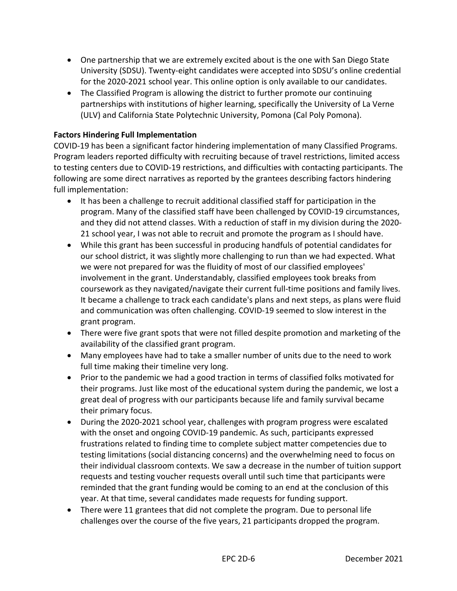- One partnership that we are extremely excited about is the one with San Diego State University (SDSU). Twenty-eight candidates were accepted into SDSU's online credential for the 2020-2021 school year. This online option is only available to our candidates.
- The Classified Program is allowing the district to further promote our continuing partnerships with institutions of higher learning, specifically the University of La Verne (ULV) and California State Polytechnic University, Pomona (Cal Poly Pomona).

#### **Factors Hindering Full Implementation**

COVID-19 has been a significant factor hindering implementation of many Classified Programs. Program leaders reported difficulty with recruiting because of travel restrictions, limited access to testing centers due to COVID-19 restrictions, and difficulties with contacting participants. The following are some direct narratives as reported by the grantees describing factors hindering full implementation:

- It has been a challenge to recruit additional classified staff for participation in the program. Many of the classified staff have been challenged by COVID-19 circumstances, and they did not attend classes. With a reduction of staff in my division during the 2020- 21 school year, I was not able to recruit and promote the program as I should have.
- While this grant has been successful in producing handfuls of potential candidates for our school district, it was slightly more challenging to run than we had expected. What we were not prepared for was the fluidity of most of our classified employees' involvement in the grant. Understandably, classified employees took breaks from coursework as they navigated/navigate their current full-time positions and family lives. It became a challenge to track each candidate's plans and next steps, as plans were fluid and communication was often challenging. COVID-19 seemed to slow interest in the grant program.
- There were five grant spots that were not filled despite promotion and marketing of the availability of the classified grant program.
- Many employees have had to take a smaller number of units due to the need to work full time making their timeline very long.
- Prior to the pandemic we had a good traction in terms of classified folks motivated for their programs. Just like most of the educational system during the pandemic, we lost a great deal of progress with our participants because life and family survival became their primary focus.
- During the 2020-2021 school year, challenges with program progress were escalated with the onset and ongoing COVID-19 pandemic. As such, participants expressed frustrations related to finding time to complete subject matter competencies due to testing limitations (social distancing concerns) and the overwhelming need to focus on their individual classroom contexts. We saw a decrease in the number of tuition support requests and testing voucher requests overall until such time that participants were reminded that the grant funding would be coming to an end at the conclusion of this year. At that time, several candidates made requests for funding support.
- There were 11 grantees that did not complete the program. Due to personal life challenges over the course of the five years, 21 participants dropped the program.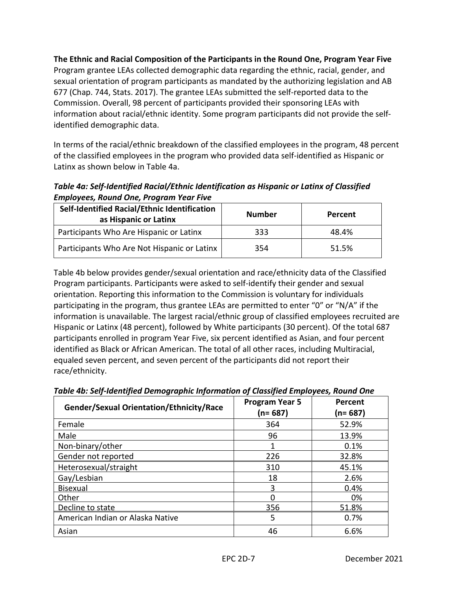**The Ethnic and Racial Composition of the Participants in the Round One, Program Year Five** Program grantee LEAs collected demographic data regarding the ethnic, racial, gender, and sexual orientation of program participants as mandated by the authorizing legislation and AB 677 (Chap. 744, Stats. 2017). The grantee LEAs submitted the self-reported data to the Commission. Overall, 98 percent of participants provided their sponsoring LEAs with information about racial/ethnic identity. Some program participants did not provide the selfidentified demographic data.

In terms of the racial/ethnic breakdown of the classified employees in the program, 48 percent of the classified employees in the program who provided data self-identified as Hispanic or Latinx as shown below in Table 4a.

*Table 4a: Self-Identified Racial/Ethnic Identification as Hispanic or Latinx of Classified Employees, Round One, Program Year Five*

| Self-Identified Racial/Ethnic Identification<br>as Hispanic or Latinx | <b>Number</b> | Percent |
|-----------------------------------------------------------------------|---------------|---------|
| Participants Who Are Hispanic or Latinx                               | 333           | 48.4%   |
| Participants Who Are Not Hispanic or Latinx                           | 354           | 51.5%   |

Table 4b below provides gender/sexual orientation and race/ethnicity data of the Classified Program participants. Participants were asked to self-identify their gender and sexual orientation. Reporting this information to the Commission is voluntary for individuals participating in the program, thus grantee LEAs are permitted to enter "0" or "N/A" if the information is unavailable. The largest racial/ethnic group of classified employees recruited are Hispanic or Latinx (48 percent), followed by White participants (30 percent). Of the total 687 participants enrolled in program Year Five, six percent identified as Asian, and four percent identified as Black or African American. The total of all other races, including Multiracial, equaled seven percent, and seven percent of the participants did not report their race/ethnicity.

| Gender/Sexual Orientation/Ethnicity/Race | <b>Program Year 5</b><br>(n= 687) | Percent<br>(n= 687) |
|------------------------------------------|-----------------------------------|---------------------|
| Female                                   | 364                               | 52.9%               |
| Male                                     | 96                                | 13.9%               |
| Non-binary/other                         |                                   | 0.1%                |
| Gender not reported                      | 226                               | 32.8%               |
| Heterosexual/straight                    | 310                               | 45.1%               |
| Gay/Lesbian                              | 18                                | 2.6%                |
| Bisexual                                 | 3                                 | 0.4%                |
| Other                                    |                                   | 0%                  |
| Decline to state                         | 356                               | 51.8%               |
| American Indian or Alaska Native         | 5                                 | 0.7%                |
| Asian                                    | 46                                | 6.6%                |

*Table 4b: Self-Identified Demographic Information of Classified Employees, Round One*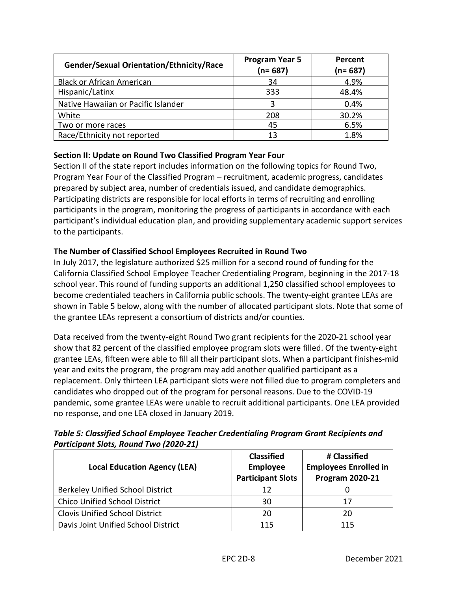| Gender/Sexual Orientation/Ethnicity/Race | <b>Program Year 5</b><br>$(n=687)$ | Percent<br>$(n=687)$ |
|------------------------------------------|------------------------------------|----------------------|
| <b>Black or African American</b>         | 34                                 | 4.9%                 |
| Hispanic/Latinx                          | 333                                | 48.4%                |
| Native Hawaiian or Pacific Islander      | 3                                  | 0.4%                 |
| White                                    | 208                                | 30.2%                |
| Two or more races                        | 45                                 | 6.5%                 |
| Race/Ethnicity not reported              | 13                                 | 1.8%                 |

#### **Section II: Update on Round Two Classified Program Year Four**

Section II of the state report includes information on the following topics for Round Two, Program Year Four of the Classified Program – recruitment, academic progress, candidates prepared by subject area, number of credentials issued, and candidate demographics. Participating districts are responsible for local efforts in terms of recruiting and enrolling participants in the program, monitoring the progress of participants in accordance with each participant's individual education plan, and providing supplementary academic support services to the participants.

#### **The Number of Classified School Employees Recruited in Round Two**

In July 2017, the legislature authorized \$25 million for a second round of funding for the California Classified School Employee Teacher Credentialing Program, beginning in the 2017-18 school year. This round of funding supports an additional 1,250 classified school employees to become credentialed teachers in California public schools. The twenty-eight grantee LEAs are shown in Table 5 below, along with the number of allocated participant slots. Note that some of the grantee LEAs represent a consortium of districts and/or counties.

Data received from the twenty-eight Round Two grant recipients for the 2020-21 school year show that 82 percent of the classified employee program slots were filled. Of the twenty-eight grantee LEAs, fifteen were able to fill all their participant slots. When a participant finishes-mid year and exits the program, the program may add another qualified participant as a replacement. Only thirteen LEA participant slots were not filled due to program completers and candidates who dropped out of the program for personal reasons. Due to the COVID-19 pandemic, some grantee LEAs were unable to recruit additional participants. One LEA provided no response, and one LEA closed in January 2019.

| <b>Local Education Agency (LEA)</b>     | <b>Classified</b><br><b>Employee</b><br><b>Participant Slots</b> | # Classified<br><b>Employees Enrolled in</b><br><b>Program 2020-21</b> |
|-----------------------------------------|------------------------------------------------------------------|------------------------------------------------------------------------|
| <b>Berkeley Unified School District</b> | 12                                                               |                                                                        |
| <b>Chico Unified School District</b>    | 30                                                               | 17                                                                     |
| <b>Clovis Unified School District</b>   | 20                                                               | 20                                                                     |
| Davis Joint Unified School District     | 115                                                              | 115                                                                    |

*Table 5: Classified School Employee Teacher Credentialing Program Grant Recipients and Participant Slots, Round Two (2020-21)*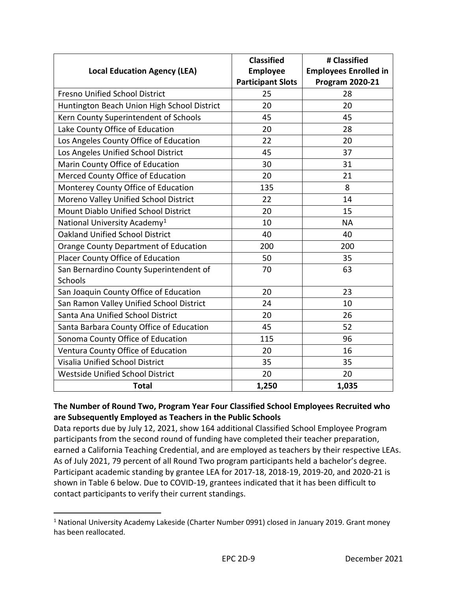| <b>Local Education Agency (LEA)</b>          | <b>Classified</b><br><b>Employee</b><br><b>Participant Slots</b> | # Classified<br><b>Employees Enrolled in</b><br><b>Program 2020-21</b> |
|----------------------------------------------|------------------------------------------------------------------|------------------------------------------------------------------------|
| <b>Fresno Unified School District</b>        | 25                                                               | 28                                                                     |
| Huntington Beach Union High School District  | 20                                                               | 20                                                                     |
| Kern County Superintendent of Schools        | 45                                                               | 45                                                                     |
| Lake County Office of Education              | 20                                                               | 28                                                                     |
| Los Angeles County Office of Education       | 22                                                               | 20                                                                     |
| Los Angeles Unified School District          | 45                                                               | 37                                                                     |
| Marin County Office of Education             | 30                                                               | 31                                                                     |
| Merced County Office of Education            | 20                                                               | 21                                                                     |
| Monterey County Office of Education          | 135                                                              | 8                                                                      |
| Moreno Valley Unified School District        | 22                                                               | 14                                                                     |
| Mount Diablo Unified School District         | 20                                                               | 15                                                                     |
| National University Academy <sup>1</sup>     | 10                                                               | <b>NA</b>                                                              |
| <b>Oakland Unified School District</b>       | 40                                                               | 40                                                                     |
| <b>Orange County Department of Education</b> | 200                                                              | 200                                                                    |
| Placer County Office of Education            | 50                                                               | 35                                                                     |
| San Bernardino County Superintendent of      | 70                                                               | 63                                                                     |
| Schools                                      |                                                                  |                                                                        |
| San Joaquin County Office of Education       | 20                                                               | 23                                                                     |
| San Ramon Valley Unified School District     | 24                                                               | 10                                                                     |
| Santa Ana Unified School District            | 20                                                               | 26                                                                     |
| Santa Barbara County Office of Education     | 45                                                               | 52                                                                     |
| Sonoma County Office of Education            | 115                                                              | 96                                                                     |
| Ventura County Office of Education           | 20                                                               | 16                                                                     |
| <b>Visalia Unified School District</b>       | 35                                                               | 35                                                                     |
| Westside Unified School District             | 20                                                               | 20                                                                     |
| <b>Total</b>                                 | 1,250                                                            | 1,035                                                                  |

#### **The Number of Round Two, Program Year Four Classified School Employees Recruited who are Subsequently Employed as Teachers in the Public Schools**

Data reports due by July 12, 2021, show 164 additional Classified School Employee Program participants from the second round of funding have completed their teacher preparation, earned a California Teaching Credential, and are employed as teachers by their respective LEAs. As of July 2021, 79 percent of all Round Two program participants held a bachelor's degree. Participant academic standing by grantee LEA for 2017-18, 2018-19, 2019-20, and 2020-21 is shown in Table 6 below. Due to COVID-19, grantees indicated that it has been difficult to contact participants to verify their current standings.

<span id="page-11-0"></span><sup>&</sup>lt;sup>1</sup> National University Academy Lakeside (Charter Number 0991) closed in January 2019. Grant money has been reallocated.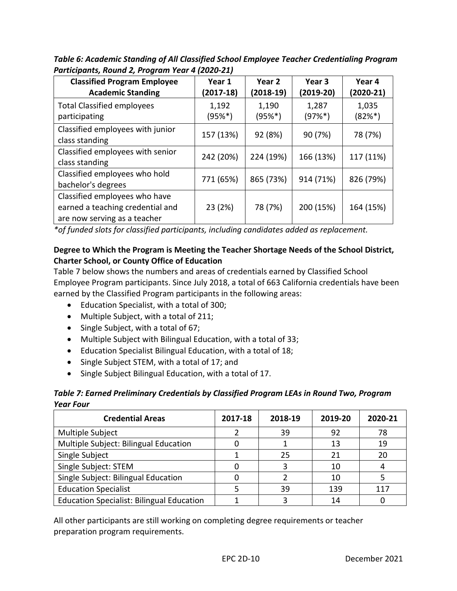*Table 6: Academic Standing of All Classified School Employee Teacher Credentialing Program Participants, Round 2, Program Year 4 (2020-21)* 

| <b>Classified Program Employee</b><br><b>Academic Standing</b>                                    | Year 1<br>$(2017-18)$ | Year 2<br>(2018-19) | Year 3<br>$(2019-20)$ | Year 4<br>$(2020-21)$ |
|---------------------------------------------------------------------------------------------------|-----------------------|---------------------|-----------------------|-----------------------|
| <b>Total Classified employees</b><br>participating                                                | 1,192<br>$(95%^*)$    | 1,190<br>$(95%^*)$  | 1,287<br>$(97%^*)$    | 1,035<br>$(82%^*)$    |
| Classified employees with junior<br>class standing                                                | 157 (13%)             | 92 (8%)             | 90 (7%)               | 78 (7%)               |
| Classified employees with senior<br>class standing                                                | 242 (20%)             | 224 (19%)           | 166 (13%)             | 117 (11%)             |
| Classified employees who hold<br>bachelor's degrees                                               | 771 (65%)             | 865 (73%)           | 914 (71%)             | 826 (79%)             |
| Classified employees who have<br>earned a teaching credential and<br>are now serving as a teacher | 23 (2%)               | 78 (7%)             | 200 (15%)             | 164 (15%)             |

*\*of funded slots for classified participants, including candidates added as replacement.* 

#### **Degree to Which the Program is Meeting the Teacher Shortage Needs of the School District, Charter School, or County Office of Education**

Table 7 below shows the numbers and areas of credentials earned by Classified School Employee Program participants. Since July 2018, a total of 663 California credentials have been earned by the Classified Program participants in the following areas:

- Education Specialist, with a total of 300;
- Multiple Subject, with a total of 211;
- Single Subject, with a total of 67;
- Multiple Subject with Bilingual Education, with a total of 33;
- Education Specialist Bilingual Education, with a total of 18;
- Single Subject STEM, with a total of 17; and
- Single Subject Bilingual Education, with a total of 17.

#### *Table 7: Earned Preliminary Credentials by Classified Program LEAs in Round Two, Program Year Four*

| <b>Credential Areas</b>                          | 2017-18 | 2018-19 | 2019-20 | 2020-21 |
|--------------------------------------------------|---------|---------|---------|---------|
| Multiple Subject                                 |         | 39      | 92      | 78      |
| Multiple Subject: Bilingual Education            |         |         | 13      | 19      |
| Single Subject                                   |         | 25      | 21      | 20      |
| Single Subject: STEM                             |         |         | 10      |         |
| Single Subject: Bilingual Education              |         |         | 10      |         |
| <b>Education Specialist</b>                      |         | 39      | 139     | 117     |
| <b>Education Specialist: Bilingual Education</b> |         |         | 14      |         |

All other participants are still working on completing degree requirements or teacher preparation program requirements.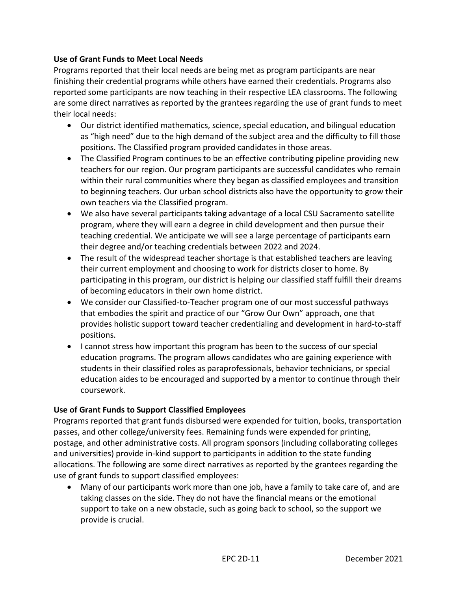#### **Use of Grant Funds to Meet Local Needs**

Programs reported that their local needs are being met as program participants are near finishing their credential programs while others have earned their credentials. Programs also reported some participants are now teaching in their respective LEA classrooms. The following are some direct narratives as reported by the grantees regarding the use of grant funds to meet their local needs:

- Our district identified mathematics, science, special education, and bilingual education as "high need" due to the high demand of the subject area and the difficulty to fill those positions. The Classified program provided candidates in those areas.
- The Classified Program continues to be an effective contributing pipeline providing new teachers for our region. Our program participants are successful candidates who remain within their rural communities where they began as classified employees and transition to beginning teachers. Our urban school districts also have the opportunity to grow their own teachers via the Classified program.
- We also have several participants taking advantage of a local CSU Sacramento satellite program, where they will earn a degree in child development and then pursue their teaching credential. We anticipate we will see a large percentage of participants earn their degree and/or teaching credentials between 2022 and 2024.
- The result of the widespread teacher shortage is that established teachers are leaving their current employment and choosing to work for districts closer to home. By participating in this program, our district is helping our classified staff fulfill their dreams of becoming educators in their own home district.
- We consider our Classified-to-Teacher program one of our most successful pathways that embodies the spirit and practice of our "Grow Our Own" approach, one that provides holistic support toward teacher credentialing and development in hard-to-staff positions.
- I cannot stress how important this program has been to the success of our special education programs. The program allows candidates who are gaining experience with students in their classified roles as paraprofessionals, behavior technicians, or special education aides to be encouraged and supported by a mentor to continue through their coursework.

#### **Use of Grant Funds to Support Classified Employees**

Programs reported that grant funds disbursed were expended for tuition, books, transportation passes, and other college/university fees. Remaining funds were expended for printing, postage, and other administrative costs. All program sponsors (including collaborating colleges and universities) provide in-kind support to participants in addition to the state funding allocations. The following are some direct narratives as reported by the grantees regarding the use of grant funds to support classified employees:

• Many of our participants work more than one job, have a family to take care of, and are taking classes on the side. They do not have the financial means or the emotional support to take on a new obstacle, such as going back to school, so the support we provide is crucial.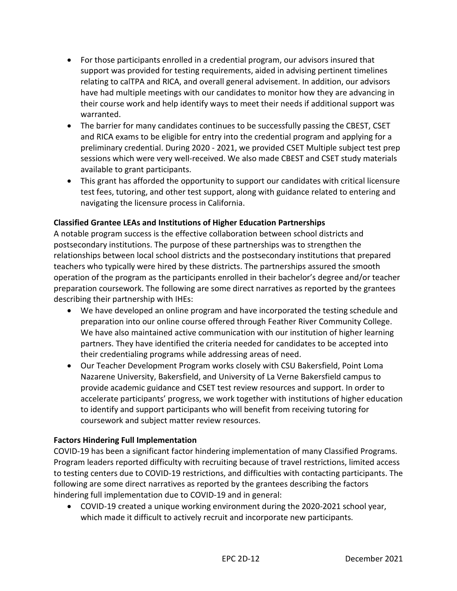- For those participants enrolled in a credential program, our advisors insured that support was provided for testing requirements, aided in advising pertinent timelines relating to calTPA and RICA, and overall general advisement. In addition, our advisors have had multiple meetings with our candidates to monitor how they are advancing in their course work and help identify ways to meet their needs if additional support was warranted.
- The barrier for many candidates continues to be successfully passing the CBEST, CSET and RICA exams to be eligible for entry into the credential program and applying for a preliminary credential. During 2020 - 2021, we provided CSET Multiple subject test prep sessions which were very well-received. We also made CBEST and CSET study materials available to grant participants.
- This grant has afforded the opportunity to support our candidates with critical licensure test fees, tutoring, and other test support, along with guidance related to entering and navigating the licensure process in California.

#### **Classified Grantee LEAs and Institutions of Higher Education Partnerships**

A notable program success is the effective collaboration between school districts and postsecondary institutions. The purpose of these partnerships was to strengthen the relationships between local school districts and the postsecondary institutions that prepared teachers who typically were hired by these districts. The partnerships assured the smooth operation of the program as the participants enrolled in their bachelor's degree and/or teacher preparation coursework. The following are some direct narratives as reported by the grantees describing their partnership with IHEs:

- We have developed an online program and have incorporated the testing schedule and preparation into our online course offered through Feather River Community College. We have also maintained active communication with our institution of higher learning partners. They have identified the criteria needed for candidates to be accepted into their credentialing programs while addressing areas of need.
- Our Teacher Development Program works closely with CSU Bakersfield, Point Loma Nazarene University, Bakersfield, and University of La Verne Bakersfield campus to provide academic guidance and CSET test review resources and support. In order to accelerate participants' progress, we work together with institutions of higher education to identify and support participants who will benefit from receiving tutoring for coursework and subject matter review resources.

#### **Factors Hindering Full Implementation**

COVID-19 has been a significant factor hindering implementation of many Classified Programs. Program leaders reported difficulty with recruiting because of travel restrictions, limited access to testing centers due to COVID-19 restrictions, and difficulties with contacting participants. The following are some direct narratives as reported by the grantees describing the factors hindering full implementation due to COVID-19 and in general:

• COVID-19 created a unique working environment during the 2020-2021 school year, which made it difficult to actively recruit and incorporate new participants.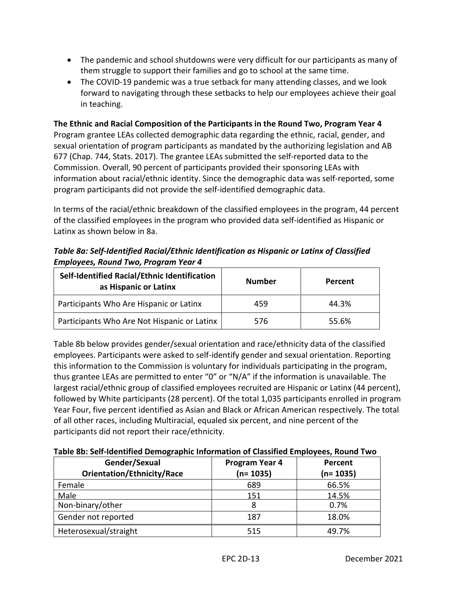- The pandemic and school shutdowns were very difficult for our participants as many of them struggle to support their families and go to school at the same time.
- The COVID-19 pandemic was a true setback for many attending classes, and we look forward to navigating through these setbacks to help our employees achieve their goal in teaching.

**The Ethnic and Racial Composition of the Participants in the Round Two, Program Year 4**  Program grantee LEAs collected demographic data regarding the ethnic, racial, gender, and sexual orientation of program participants as mandated by the authorizing legislation and AB 677 (Chap. 744, Stats. 2017). The grantee LEAs submitted the self-reported data to the Commission. Overall, 90 percent of participants provided their sponsoring LEAs with information about racial/ethnic identity. Since the demographic data was self-reported, some program participants did not provide the self-identified demographic data.

In terms of the racial/ethnic breakdown of the classified employees in the program, 44 percent of the classified employees in the program who provided data self-identified as Hispanic or Latinx as shown below in 8a.

*Table 8a: Self-Identified Racial/Ethnic Identification as Hispanic or Latinx of Classified Employees, Round Two, Program Year 4* 

| Self-Identified Racial/Ethnic Identification<br>as Hispanic or Latinx | <b>Number</b> | Percent |  |
|-----------------------------------------------------------------------|---------------|---------|--|
| Participants Who Are Hispanic or Latinx                               | 459           | 44.3%   |  |
| Participants Who Are Not Hispanic or Latinx                           | 576           | 55.6%   |  |

Table 8b below provides gender/sexual orientation and race/ethnicity data of the classified employees. Participants were asked to self-identify gender and sexual orientation. Reporting this information to the Commission is voluntary for individuals participating in the program, thus grantee LEAs are permitted to enter "0" or "N/A" if the information is unavailable. The largest racial/ethnic group of classified employees recruited are Hispanic or Latinx (44 percent), followed by White participants (28 percent). Of the total 1,035 participants enrolled in program Year Four, five percent identified as Asian and Black or African American respectively. The total of all other races, including Multiracial, equaled six percent, and nine percent of the participants did not report their race/ethnicity.

**Table 8b: Self-Identified Demographic Information of Classified Employees, Round Two**

| Gender/Sexual<br><b>Orientation/Ethnicity/Race</b> | Program Year 4<br>$(n=1035)$ | Percent<br>$(n=1035)$ |
|----------------------------------------------------|------------------------------|-----------------------|
| Female                                             | 689                          | 66.5%                 |
| Male                                               | 151                          | 14.5%                 |
| Non-binary/other                                   |                              | 0.7%                  |
| Gender not reported                                | 187                          | 18.0%                 |
| Heterosexual/straight                              | 515                          | 49.7%                 |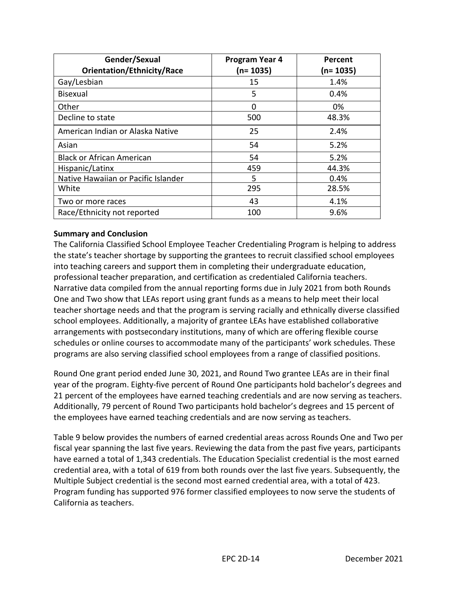| Gender/Sexual                       | Program Year 4 | Percent   |  |  |
|-------------------------------------|----------------|-----------|--|--|
| <b>Orientation/Ethnicity/Race</b>   | $(n=1035)$     | (n= 1035) |  |  |
| Gay/Lesbian                         | 15             | 1.4%      |  |  |
| <b>Bisexual</b>                     | 5              | 0.4%      |  |  |
| Other                               | 0              | 0%        |  |  |
| Decline to state                    | 500            | 48.3%     |  |  |
| American Indian or Alaska Native    | 25             | 2.4%      |  |  |
| Asian                               | 54             | 5.2%      |  |  |
| <b>Black or African American</b>    | 54             | 5.2%      |  |  |
| Hispanic/Latinx                     | 459            | 44.3%     |  |  |
| Native Hawaiian or Pacific Islander | 5              | 0.4%      |  |  |
| White                               | 295            | 28.5%     |  |  |
| Two or more races                   | 43             | 4.1%      |  |  |
| Race/Ethnicity not reported         | 100            | 9.6%      |  |  |

#### **Summary and Conclusion**

The California Classified School Employee Teacher Credentialing Program is helping to address the state's teacher shortage by supporting the grantees to recruit classified school employees into teaching careers and support them in completing their undergraduate education, professional teacher preparation, and certification as credentialed California teachers. Narrative data compiled from the annual reporting forms due in July 2021 from both Rounds One and Two show that LEAs report using grant funds as a means to help meet their local teacher shortage needs and that the program is serving racially and ethnically diverse classified school employees. Additionally, a majority of grantee LEAs have established collaborative arrangements with postsecondary institutions, many of which are offering flexible course schedules or online courses to accommodate many of the participants' work schedules. These programs are also serving classified school employees from a range of classified positions.

Round One grant period ended June 30, 2021, and Round Two grantee LEAs are in their final year of the program. Eighty-five percent of Round One participants hold bachelor's degrees and 21 percent of the employees have earned teaching credentials and are now serving as teachers. Additionally, 79 percent of Round Two participants hold bachelor's degrees and 15 percent of the employees have earned teaching credentials and are now serving as teachers.

Table 9 below provides the numbers of earned credential areas across Rounds One and Two per fiscal year spanning the last five years. Reviewing the data from the past five years, participants have earned a total of 1,343 credentials. The Education Specialist credential is the most earned credential area, with a total of 619 from both rounds over the last five years. Subsequently, the Multiple Subject credential is the second most earned credential area, with a total of 423. Program funding has supported 976 former classified employees to now serve the students of California as teachers.